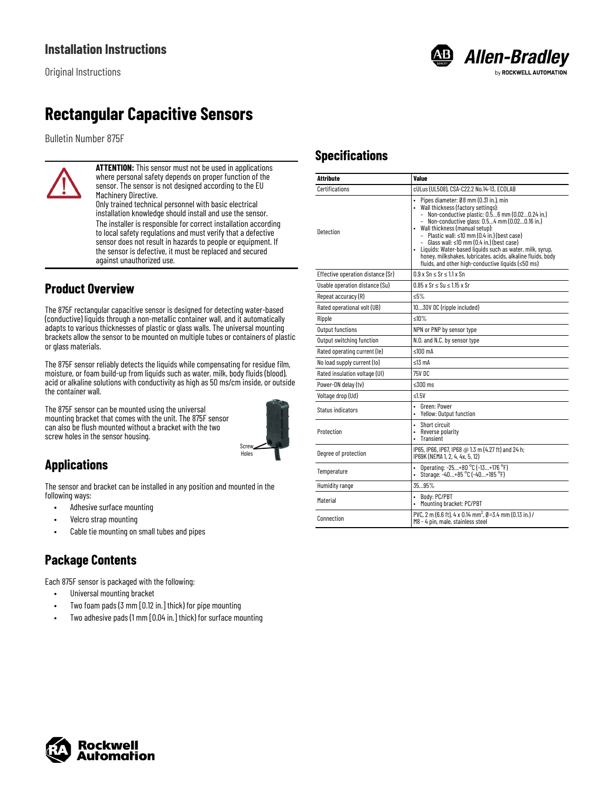

# **Rectangular Capacitive Sensors**

Bulletin Number 875F



**ATTENTION:** This sensor must not be used in applications where personal safety depends on proper function of the sensor. The sensor is not designed according to the EU Machinery Directive.

Only trained technical personnel with basic electrical installation knowledge should install and use the sensor. The installer is responsible for correct installation according to local safety regulations and must verify that a defective sensor does not result in hazards to people or equipment. If the sensor is defective, it must be replaced and secured against unauthorized use.

### **Product Overview**

The 875F rectangular capacitive sensor is designed for detecting water-based (conductive) liquids through a non-metallic container wall, and it automatically adapts to various thicknesses of plastic or glass walls. The universal mounting brackets allow the sensor to be mounted on multiple tubes or containers of plastic or glass materials.

The 875F sensor reliably detects the liquids while compensating for residue film, moisture, or foam build-up from liquids such as water, milk, body fluids (blood), acid or alkaline solutions with conductivity as high as 50 ms/cm inside, or outside the container wall.

The 875F sensor can be mounted using the universal mounting bracket that comes with the unit. The 875F sensor can also be flush mounted without a bracket with the two screw holes in the sensor housing.



## **Applications**

The sensor and bracket can be installed in any position and mounted in the following ways:

- Adhesive surface mounting
- Velcro strap mounting
- Cable tie mounting on small tubes and pipes

## **Package Contents**

Each 875F sensor is packaged with the following:

- Universal mounting bracket
- Two foam pads (3 mm [0.12 in.] thick) for pipe mounting
- Two adhesive pads (1 mm [0.04 in.] thick) for surface mounting

### **Specifications**

| Attribute                         | Value                                                                                                                                                                                                                                                                                                                                                                                                                                                                                                                     |  |
|-----------------------------------|---------------------------------------------------------------------------------------------------------------------------------------------------------------------------------------------------------------------------------------------------------------------------------------------------------------------------------------------------------------------------------------------------------------------------------------------------------------------------------------------------------------------------|--|
| Certifications                    | cULus (UL508), CSA-C22.2 No.14-13, ECOLAB                                                                                                                                                                                                                                                                                                                                                                                                                                                                                 |  |
| Detection                         | Pipes diameter: Ø8 mm (0.31 in.), min<br>Wall thickness (factory settings):<br>- Non-conductive plastic: $0.\overline{5}6$ mm (0.020.24 in.)<br>- Non-conductive glass: 0.54 mm (0.020.16 in.)<br>• Wall thickness (manual setup):<br>- Plastic wall: $\leq 10$ mm (0.4 in.) (best case)<br>- Glass wall: ≤10 mm (0.4 in.) (best case)<br>· Liquids: Water-based liquids such as water, milk, syrup,<br>honey, milkshakes, lubricates, acids, alkaline fluids, body<br>fluids, and other high-conductive liquids (≤50 ms) |  |
| Effective operation distance (Sr) | $0.9 \times$ Sn $\leq$ Sr $\leq$ 1.1 x Sn                                                                                                                                                                                                                                                                                                                                                                                                                                                                                 |  |
| Usable operation distance (Su)    | $0.85 \times Sr \leq Su \leq 1.15 \times Sr$                                                                                                                                                                                                                                                                                                                                                                                                                                                                              |  |
| Repeat accuracy (R)               | $5\%$                                                                                                                                                                                                                                                                                                                                                                                                                                                                                                                     |  |
| Rated operational volt (UB)       | 1030V DC (ripple included)                                                                                                                                                                                                                                                                                                                                                                                                                                                                                                |  |
| Ripple                            | ≤10%                                                                                                                                                                                                                                                                                                                                                                                                                                                                                                                      |  |
| Output functions                  | NPN or PNP by sensor type                                                                                                                                                                                                                                                                                                                                                                                                                                                                                                 |  |
| Output switching function         | N.O. and N.C. by sensor type                                                                                                                                                                                                                                                                                                                                                                                                                                                                                              |  |
| Rated operating current (le)      | $< 100 \text{ mA}$                                                                                                                                                                                                                                                                                                                                                                                                                                                                                                        |  |
| No load supply current (lo)       | ≤13 mA                                                                                                                                                                                                                                                                                                                                                                                                                                                                                                                    |  |
| Rated insulation voltage (UI)     | 75V DC                                                                                                                                                                                                                                                                                                                                                                                                                                                                                                                    |  |
| Power-ON delay (tv)               | $\leq 300$ ms                                                                                                                                                                                                                                                                                                                                                                                                                                                                                                             |  |
| Voltage drop (Ud)                 | ≤1.5 $V$                                                                                                                                                                                                                                                                                                                                                                                                                                                                                                                  |  |
| Status indicators                 | Green: Power<br>$\bullet$<br>Yellow: Output function                                                                                                                                                                                                                                                                                                                                                                                                                                                                      |  |
| Protection                        | Short circuit<br>$\bullet$<br>$\bullet$<br>Reverse polarity<br>Transient                                                                                                                                                                                                                                                                                                                                                                                                                                                  |  |
| Degree of protection              | IP65, IP66, IP67, IP68 @ 1.3 m (4.27 ft) and 24 h;<br>IP69K (NEMA 1, 2, 4, 4x, 5, 12)                                                                                                                                                                                                                                                                                                                                                                                                                                     |  |
| Temperature                       | Operating: -25+80 °C (-13+176 °F)<br>$\bullet$<br>Storage: -40+85 °C (-40+185 °F)                                                                                                                                                                                                                                                                                                                                                                                                                                         |  |
| Humidity range                    | 3595%                                                                                                                                                                                                                                                                                                                                                                                                                                                                                                                     |  |
| Material                          | • Body: PC/PBT<br>Mounting bracket: PC/PBT                                                                                                                                                                                                                                                                                                                                                                                                                                                                                |  |
| Connection                        | PVC, 2 m (6.6 ft), 4 x 0.14 mm <sup>2</sup> , $\emptyset$ =3.4 mm (0.13 in.) /<br>M8 - 4 pin, male, stainless steel                                                                                                                                                                                                                                                                                                                                                                                                       |  |

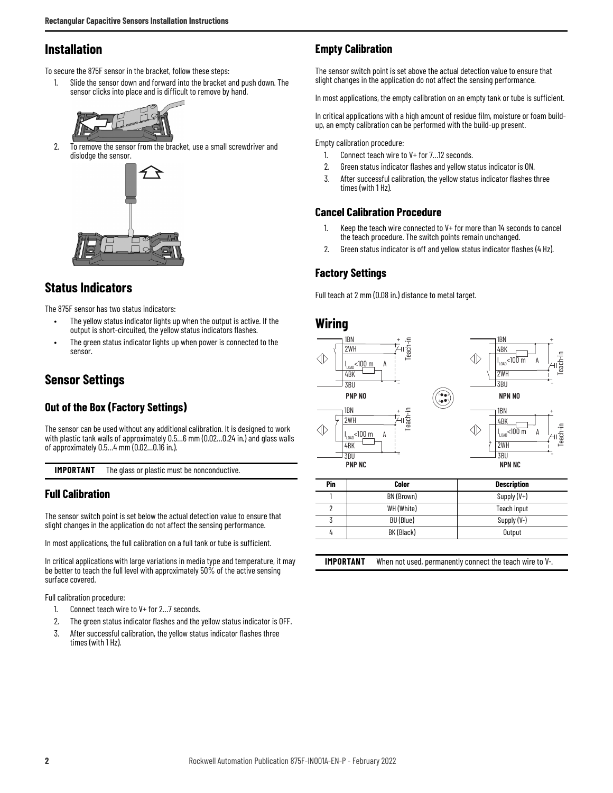### **Installation**

To secure the 875F sensor in the bracket, follow these steps:

1. Slide the sensor down and forward into the bracket and push down. The sensor clicks into place and is difficult to remove by hand.



2. To remove the sensor from the bracket, use a small screwdriver and dislodge the sensor.



### **Status Indicators**

The 875F sensor has two status indicators:

- The yellow status indicator lights up when the output is active. If the output is short-circuited, the yellow status indicators flashes.
- The green status indicator lights up when power is connected to the sensor.

### **Sensor Settings**

#### **Out of the Box (Factory Settings)**

The sensor can be used without any additional calibration. It is designed to work with plastic tank walls of approximately 0.5…6 mm (0.02…0.24 in.) and glass walls of approximately 0.5…4 mm (0.02…0.16 in.).

**IMPORTANT** The glass or plastic must be nonconductive.

#### **Full Calibration**

The sensor switch point is set below the actual detection value to ensure that slight changes in the application do not affect the sensing performance.

In most applications, the full calibration on a full tank or tube is sufficient.

In critical applications with large variations in media type and temperature, it may be better to teach the full level with approximately 50% of the active sensing surface covered.

Full calibration procedure:

- 1. Connect teach wire to V+ for 2…7 seconds.
- 2. The green status indicator flashes and the yellow status indicator is OFF.
- 3. After successful calibration, the yellow status indicator flashes three times (with 1 Hz).

#### **Empty Calibration**

The sensor switch point is set above the actual detection value to ensure that slight changes in the application do not affect the sensing performance.

In most applications, the empty calibration on an empty tank or tube is sufficient.

In critical applications with a high amount of residue film, moisture or foam buildup, an empty calibration can be performed with the build-up present.

Empty calibration procedure:

- 1. Connect teach wire to V+ for 7…12 seconds.
- 2. Green status indicator flashes and yellow status indicator is ON.
- 3. After successful calibration, the yellow status indicator flashes three times (with 1 Hz).

#### **Cancel Calibration Procedure**

- 1. Keep the teach wire connected to V+ for more than 14 seconds to cancel the teach procedure. The switch points remain unchanged.
- 2. Green status indicator is off and yellow status indicator flashes (4 Hz).

#### **Factory Settings**

Full teach at 2 mm (0.08 in.) distance to metal target.

### **Wiring**



| Pin | Color      | <b>Description</b> |
|-----|------------|--------------------|
|     | BN (Brown) | Supply $(V+)$      |
|     | WH (White) | Teach input        |
|     | BU (Blue)  | Supply (V-)        |
|     | BK (Black) | Output             |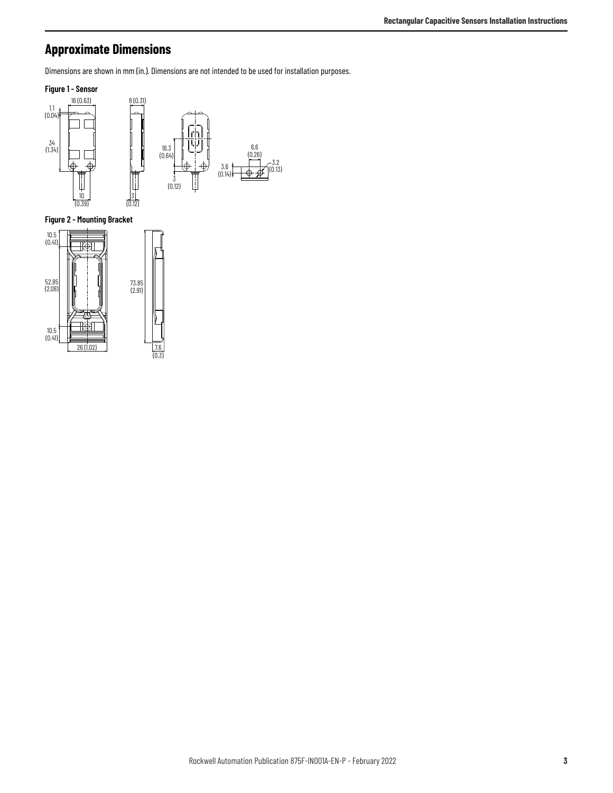## **Approximate Dimensions**

Dimensions are shown in mm (in.). Dimensions are not intended to be used for installation purposes.



**Figure 2 - Mounting Bracket**